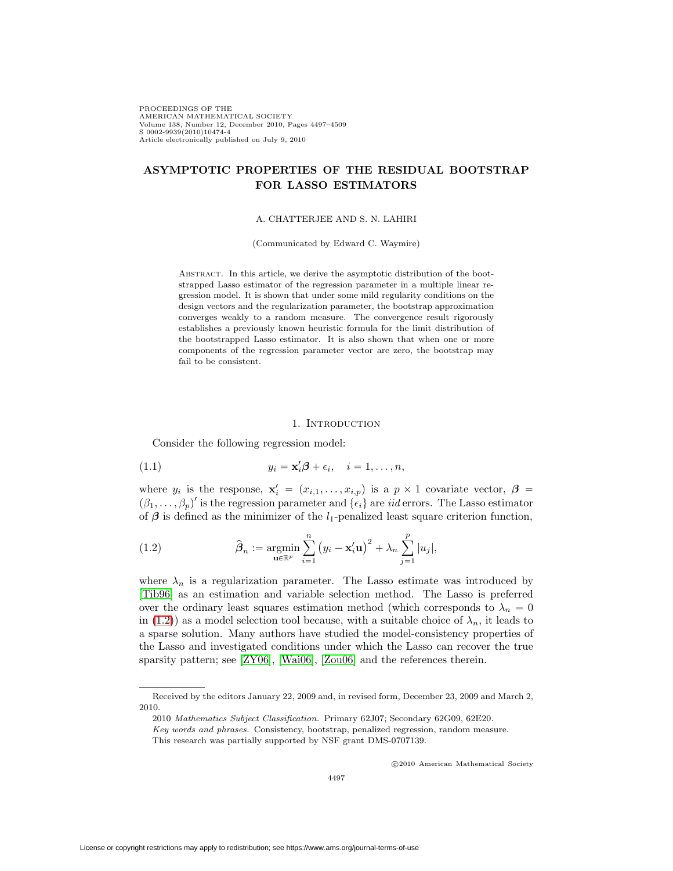PROCEEDINGS OF THE AMERICAN MATHEMATICAL SOCIETY Volume 138, Number 12, December 2010, Pages 4497–4509 S 0002-9939(2010)10474-4 Article electronically published on July 9, 2010

# **ASYMPTOTIC PROPERTIES OF THE RESIDUAL BOOTSTRAP FOR LASSO ESTIMATORS**

#### A. CHATTERJEE AND S. N. LAHIRI

#### (Communicated by Edward C. Waymire)

ABSTRACT. In this article, we derive the asymptotic distribution of the bootstrapped Lasso estimator of the regression parameter in a multiple linear regression model. It is shown that under some mild regularity conditions on the design vectors and the regularization parameter, the bootstrap approximation converges weakly to a random measure. The convergence result rigorously establishes a previously known heuristic formula for the limit distribution of the bootstrapped Lasso estimator. It is also shown that when one or more components of the regression parameter vector are zero, the bootstrap may fail to be consistent.

#### <span id="page-0-1"></span>1. INTRODUCTION

Consider the following regression model:

(1.1) 
$$
y_i = \mathbf{x}'_i \boldsymbol{\beta} + \epsilon_i, \quad i = 1, \dots, n,
$$

where  $y_i$  is the response,  $\mathbf{x}'_i = (x_{i,1},...,x_{i,p})$  is a  $p \times 1$  covariate vector,  $\boldsymbol{\beta} =$  $(\beta_1,\ldots,\beta_p)'$  is the regression parameter and  $\{\epsilon_i\}$  are *iid* errors. The Lasso estimator of  $\beta$  is defined as the minimizer of the l<sub>1</sub>-penalized least square criterion function,

<span id="page-0-0"></span>(1.2) 
$$
\hat{\boldsymbol{\beta}}_n := \operatorname*{argmin}_{\mathbf{u} \in \mathbb{R}^p} \sum_{i=1}^n (y_i - \mathbf{x}_i' \mathbf{u})^2 + \lambda_n \sum_{j=1}^p |u_j|,
$$

where  $\lambda_n$  is a regularization parameter. The Lasso estimate was introduced by [\[Tib96\]](#page-11-0) as an estimation and variable selection method. The Lasso is preferred over the ordinary least squares estimation method (which corresponds to  $\lambda_n = 0$ in [\(1.2\)](#page-0-0)) as a model selection tool because, with a suitable choice of  $\lambda_n$ , it leads to a sparse solution. Many authors have studied the model-consistency properties of the Lasso and investigated conditions under which the Lasso can recover the true sparsity pattern; see [\[ZY06\]](#page-12-0), [\[Wai06\]](#page-11-1), [\[Zou06\]](#page-12-1) and the references therein.

-c 2010 American Mathematical Society

Received by the editors January 22, 2009 and, in revised form, December 23, 2009 and March 2, 2010.

<sup>2010</sup> Mathematics Subject Classification. Primary 62J07; Secondary 62G09, 62E20.

Key words and phrases. Consistency, bootstrap, penalized regression, random measure.

This research was partially supported by NSF grant DMS-0707139.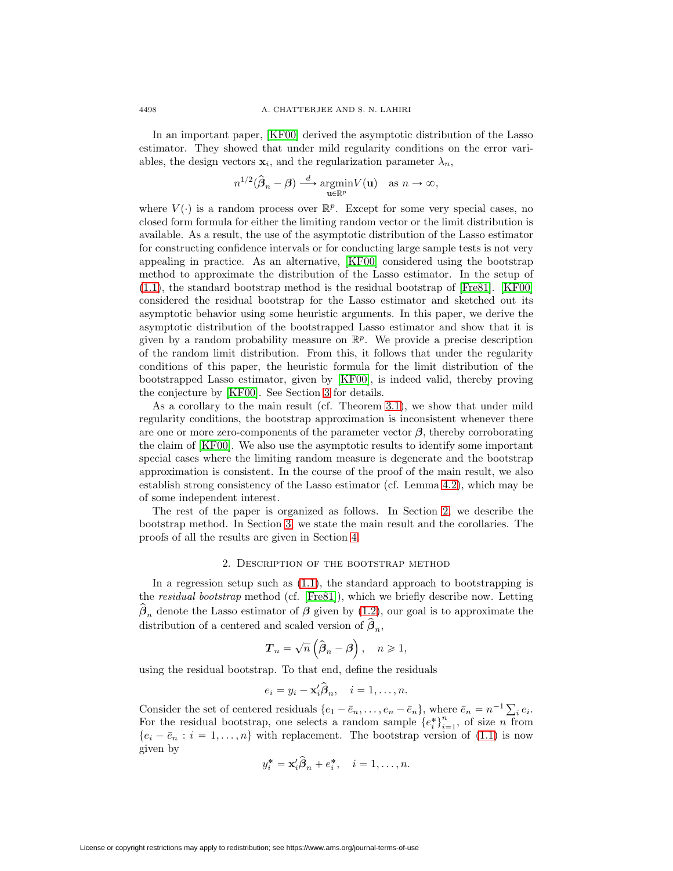In an important paper, [\[KF00\]](#page-11-2) derived the asymptotic distribution of the Lasso estimator. They showed that under mild regularity conditions on the error variables, the design vectors  $\mathbf{x}_i$ , and the regularization parameter  $\lambda_n$ ,

$$
n^{1/2}(\hat{\boldsymbol{\beta}}_n - \boldsymbol{\beta}) \stackrel{d}{\longrightarrow} \underset{\mathbf{u} \in \mathbb{R}^p}{\operatorname{argmin}} V(\mathbf{u}) \quad \text{as } n \to \infty,
$$

where  $V(\cdot)$  is a random process over  $\mathbb{R}^p$ . Except for some very special cases, no closed form formula for either the limiting random vector or the limit distribution is available. As a result, the use of the asymptotic distribution of the Lasso estimator for constructing confidence intervals or for conducting large sample tests is not very appealing in practice. As an alternative, [\[KF00\]](#page-11-2) considered using the bootstrap method to approximate the distribution of the Lasso estimator. In the setup of [\(1.1\)](#page-0-1), the standard bootstrap method is the residual bootstrap of [\[Fre81\]](#page-11-3). [\[KF00\]](#page-11-2) considered the residual bootstrap for the Lasso estimator and sketched out its asymptotic behavior using some heuristic arguments. In this paper, we derive the asymptotic distribution of the bootstrapped Lasso estimator and show that it is given by a random probability measure on  $\mathbb{R}^p$ . We provide a precise description of the random limit distribution. From this, it follows that under the regularity conditions of this paper, the heuristic formula for the limit distribution of the bootstrapped Lasso estimator, given by [\[KF00\]](#page-11-2), is indeed valid, thereby proving the conjecture by [\[KF00\]](#page-11-2). See Section [3](#page-2-0) for details.

As a corollary to the main result (cf. Theorem [3.1\)](#page-3-0), we show that under mild regularity conditions, the bootstrap approximation is inconsistent whenever there are one or more zero-components of the parameter vector *β*, thereby corroborating the claim of [\[KF00\]](#page-11-2). We also use the asymptotic results to identify some important special cases where the limiting random measure is degenerate and the bootstrap approximation is consistent. In the course of the proof of the main result, we also establish strong consistency of the Lasso estimator (cf. Lemma [4.2\)](#page-6-0), which may be of some independent interest.

The rest of the paper is organized as follows. In Section [2,](#page-1-0) we describe the bootstrap method. In Section [3,](#page-2-0) we state the main result and the corollaries. The proofs of all the results are given in Section [4.](#page-5-0)

#### 2. Description of the bootstrap method

<span id="page-1-0"></span>In a regression setup such as [\(1.1\)](#page-0-1), the standard approach to bootstrapping is the residual bootstrap method (cf. [\[Fre81\]](#page-11-3)), which we briefly describe now. Letting  $\hat{\beta}_n$  denote the Lasso estimator of  $\beta$  given by [\(1.2\)](#page-0-0), our goal is to approximate the distribution of a centered and scaled version of  $\hat{\boldsymbol{\beta}}_n$ ,

$$
T_n = \sqrt{n} \left( \widehat{\beta}_n - \beta \right), \quad n \geqslant 1,
$$

using the residual bootstrap. To that end, define the residuals

$$
e_i = y_i - \mathbf{x}_i' \widehat{\boldsymbol{\beta}}_n, \quad i = 1, \dots, n.
$$

Consider the set of centered residuals  $\{e_1 - \bar{e}_n, \ldots, e_n - \bar{e}_n\}$ , where  $\bar{e}_n = n^{-1} \sum_i e_i$ . For the residual bootstrap, one selects a random sample  $\{e_i^*\}_{i=1}^n$ , of size n from  $\{e_i - \bar{e}_n : i = 1,\ldots,n\}$  with replacement. The bootstrap version of [\(1.1\)](#page-0-1) is now given by

$$
y_i^* = \mathbf{x}_i' \hat{\boldsymbol{\beta}}_n + e_i^*, \quad i = 1, \dots, n.
$$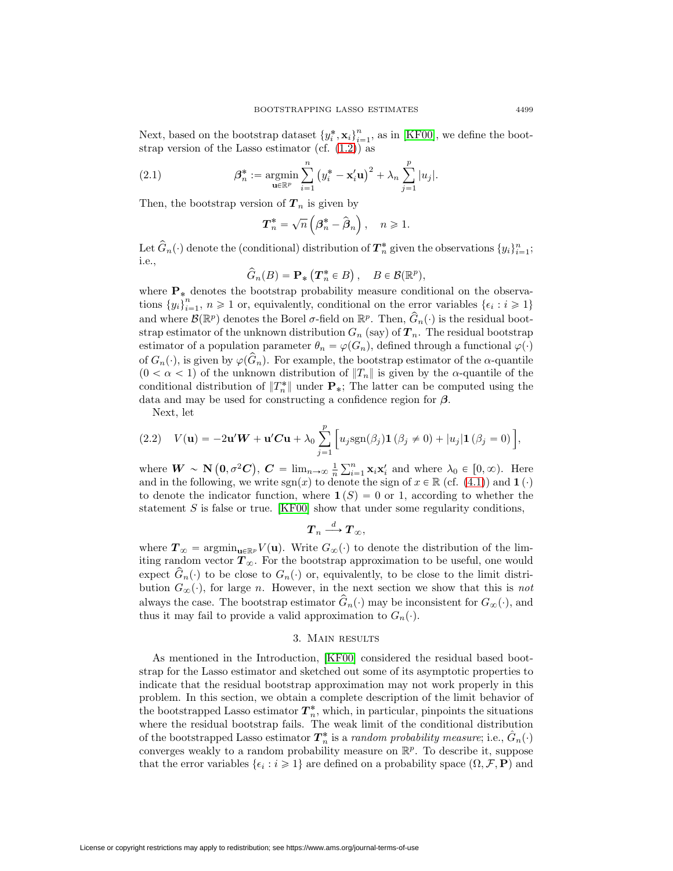Next, based on the bootstrap dataset  ${y_i^*, \mathbf{x}_i}_{i=1}^n$ , as in [\[KF00\]](#page-11-2), we define the bootstrap version of the Lasso estimator (cf.  $(1.2)$ ) as

(2.1) 
$$
\beta_n^* := \operatorname*{argmin}_{\mathbf{u} \in \mathbb{R}^p} \sum_{i=1}^n (y_i^* - \mathbf{x}_i' \mathbf{u})^2 + \lambda_n \sum_{j=1}^p |u_j|.
$$

Then, the bootstrap version of  $T_n$  is given by

$$
T_n^* = \sqrt{n} \left( \beta_n^* - \hat{\beta}_n \right), \quad n \geq 1.
$$

Let  $\widehat{G}_n(\cdot)$  denote the (conditional) distribution of  $T_n^*$  given the observations  $\{y_i\}_{i=1}^n$ ; i.e.,

$$
\widehat{G}_n(B) = \mathbf{P}_* \left( \mathbf{T}_n^* \in B \right), \quad B \in \mathcal{B}(\mathbb{R}^p),
$$

where  $P_*$  denotes the bootstrap probability measure conditional on the observations  $\{y_i\}_{i=1}^n$ ,  $n \geq 1$  or, equivalently, conditional on the error variables  $\{\epsilon_i : i \geq 1\}$ and where  $\mathcal{B}(\mathbb{R}^p)$  denotes the Borel  $\sigma$ -field on  $\mathbb{R}^p$ . Then,  $\hat{G}_n(\cdot)$  is the residual bootstrap estimator of the unknown distribution  $G_n$  (say) of  $T_n$ . The residual bootstrap estimator of a population parameter  $\theta_n = \varphi(G_n)$ , defined through a functional  $\varphi(\cdot)$ of  $G_n(\cdot)$ , is given by  $\varphi(G_n)$ . For example, the bootstrap estimator of the  $\alpha$ -quantile  $(0 < \alpha < 1)$  of the unknown distribution of  $||T_n||$  is given by the  $\alpha$ -quantile of the conditional distribution of  $||T_n^*||$  under  $\mathbf{P}_*$ ; The latter can be computed using the data and may be used for constructing a confidence region for *β*.

Next, let

<span id="page-2-1"></span>(2.2) 
$$
V(\mathbf{u}) = -2\mathbf{u}'\mathbf{W} + \mathbf{u}'\mathbf{C}\mathbf{u} + \lambda_0 \sum_{j=1}^p \Big[ u_j \text{sgn}(\beta_j) \mathbf{1} (\beta_j \neq 0) + |u_j| \mathbf{1} (\beta_j = 0) \Big],
$$

where  $W \sim \mathbf{N}\left(0, \sigma^2 C\right)$ ,  $C = \lim_{n \to \infty} \frac{1}{n} \sum_{i=1}^n \mathbf{x}_i \mathbf{x}_i'$  and where  $\lambda_0 \in [0, \infty)$ . Here and in the following, we write  $sgn(x)$  to denote the sign of  $x \in \mathbb{R}$  (cf. [\(4.1\)](#page-5-1)) and **1** (·) to denote the indicator function, where  $\mathbf{1}(S) = 0$  or 1, according to whether the statement  $S$  is false or true. [\[KF00\]](#page-11-2) show that under some regularity conditions,

$$
\boldsymbol T_n \overset{d}{\longrightarrow} \boldsymbol T_{\infty},
$$

where  $T_{\infty} = \operatorname{argmin}_{\mathbf{u} \in \mathbb{R}^p} V(\mathbf{u})$ . Write  $G_{\infty}(\cdot)$  to denote the distribution of the limiting random vector  $T_{\infty}$ . For the bootstrap approximation to be useful, one would expect  $\hat{G}_n(\cdot)$  to be close to  $G_n(\cdot)$  or, equivalently, to be close to the limit distribution  $G_{\infty}(\cdot)$ , for large n. However, in the next section we show that this is not always the case. The bootstrap estimator  $\hat{G}_n(\cdot)$  may be inconsistent for  $G_\infty(\cdot)$ , and thus it may fail to provide a valid approximation to  $G_n(\cdot)$ .

## 3. Main results

<span id="page-2-0"></span>As mentioned in the Introduction, [\[KF00\]](#page-11-2) considered the residual based bootstrap for the Lasso estimator and sketched out some of its asymptotic properties to indicate that the residual bootstrap approximation may not work properly in this problem. In this section, we obtain a complete description of the limit behavior of the bootstrapped Lasso estimator  $T_n^*$ , which, in particular, pinpoints the situations where the residual bootstrap fails. The weak limit of the conditional distribution of the bootstrapped Lasso estimator  $\bm{T}^*_n$  is a *random probability measure*; i.e.,  $\hat{G}_n(\cdot)$ converges weakly to a random probability measure on  $\mathbb{R}^p$ . To describe it, suppose that the error variables  $\{\epsilon_i : i \geq 1\}$  are defined on a probability space  $(\Omega, \mathcal{F}, \mathbf{P})$  and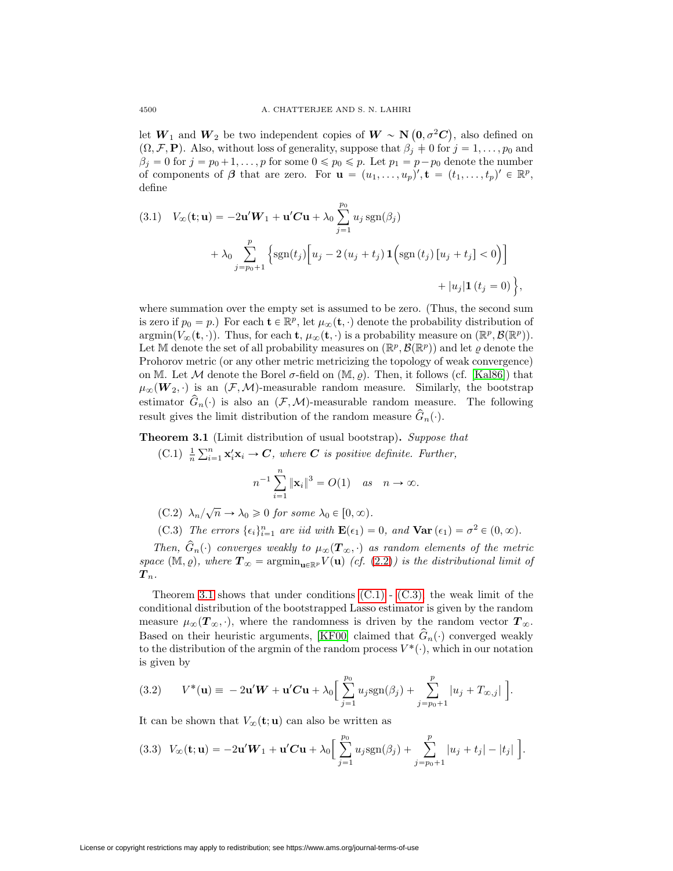let  $W_1$  and  $W_2$  be two independent copies of  $W \sim \mathbf{N} \left( \mathbf{0}, \sigma^2 \mathbf{C} \right)$ , also defined on  $(\Omega, \mathcal{F}, \mathbf{P})$ . Also, without loss of generality, suppose that  $\beta_j \neq 0$  for  $j = 1, \ldots, p_0$  and  $\beta_j = 0$  for  $j = p_0 + 1, \ldots, p$  for some  $0 \leq p_0 \leq p$ . Let  $p_1 = p - p_0$  denote the number of components of  $\beta$  that are zero. For  $\mathbf{u} = (u_1, \ldots, u_p)'$ ,  $\mathbf{t} = (t_1, \ldots, t_p)' \in \mathbb{R}^p$ , define

(3.1) 
$$
V_{\infty}(\mathbf{t}; \mathbf{u}) = -2\mathbf{u}'\mathbf{W}_1 + \mathbf{u}'\mathbf{C}\mathbf{u} + \lambda_0 \sum_{j=1}^{p_0} u_j \operatorname{sgn}(\beta_j)
$$

$$
+ \lambda_0 \sum_{j=p_0+1}^{p} \left\{ \operatorname{sgn}(t_j) \left[ u_j - 2(u_j + t_j) \mathbf{1} \left( \operatorname{sgn}(t_j) [u_j + t_j] < 0 \right) \right] + |u_j| \mathbf{1} (t_j = 0) \right\},
$$

where summation over the empty set is assumed to be zero. (Thus, the second sum is zero if  $p_0 = p$ .) For each  $\mathbf{t} \in \mathbb{R}^p$ , let  $\mu_\infty(\mathbf{t}, \cdot)$  denote the probability distribution of  $\operatorname{argmin}(V_{\infty}(\mathbf{t},\cdot)).$  Thus, for each **t**,  $\mu_{\infty}(\mathbf{t},\cdot)$  is a probability measure on  $(\mathbb{R}^p, \mathcal{B}(\mathbb{R}^p)).$ Let M denote the set of all probability measures on  $(\mathbb{R}^p, \mathcal{B}(\mathbb{R}^p))$  and let  $\varrho$  denote the Prohorov metric (or any other metric metricizing the topology of weak convergence) on M. Let M denote the Borel  $\sigma$ -field on  $(\mathbb{M}, \rho)$ . Then, it follows (cf. [\[Kal86\]](#page-11-4)) that  $\mu_{\infty}(\mathbf{W}_2, \cdot)$  is an  $(\mathcal{F},\mathcal{M})$ -measurable random measure. Similarly, the bootstrap estimator  $\hat{G}_n(\cdot)$  is also an  $(\mathcal{F},\mathcal{M})$ -measurable random measure. The following result gives the limit distribution of the random measure  $\hat{G}_n(\cdot)$ .

<span id="page-3-1"></span><span id="page-3-0"></span>**Theorem 3.1** (Limit distribution of usual bootstrap)**.** Suppose that

(C.1)  $\frac{1}{n} \sum_{i=1}^{n} \mathbf{x}'_i \mathbf{x}_i \rightarrow C$ , where *C* is positive definite. Further,

$$
n^{-1} \sum_{i=1}^{n} ||\mathbf{x}_i||^3 = O(1) \quad \text{as} \quad n \to \infty.
$$

- (C.2)  $\lambda_n/\sqrt{n} \to \lambda_0 \geq 0$  for some  $\lambda_0 \in [0, \infty)$ .
- (C.3) The errors  $\{\epsilon_i\}_{i=1}^n$  are iid with  $\mathbf{E}(\epsilon_1) = 0$ , and  $\mathbf{Var}(\epsilon_1) = \sigma^2 \in (0, \infty)$ .

<span id="page-3-5"></span><span id="page-3-2"></span>Then,  $\hat{G}_n(\cdot)$  converges weakly to  $\mu_{\infty}(\mathbf{T}_{\infty}, \cdot)$  as random elements of the metric space  $(\mathbb{M}, \varrho)$ , where  $\mathbf{T}_{\infty} = \operatorname{argmin}_{\mathbf{u} \in \mathbb{R}^p} V(\mathbf{u})$  (cf. [\(2.2\)](#page-2-1)) is the distributional limit of  $\bm{T}_n.$ 

Theorem [3.1](#page-3-0) shows that under conditions  $(C.1)$  -  $(C.3)$ , the weak limit of the conditional distribution of the bootstrapped Lasso estimator is given by the random measure  $\mu_{\infty}(T_{\infty}, \cdot)$ , where the randomness is driven by the random vector  $T_{\infty}$ . Based on their heuristic arguments, [\[KF00\]](#page-11-2) claimed that  $\hat{G}_n(\cdot)$  converged weakly to the distribution of the argmin of the random process  $V^*(\cdot)$ , which in our notation is given by

<span id="page-3-3"></span>(3.2) 
$$
V^*(\mathbf{u}) = -2\mathbf{u}'\mathbf{W} + \mathbf{u}'\mathbf{C}\mathbf{u} + \lambda_0 \Big[\sum_{j=1}^{p_0} u_j \mathrm{sgn}(\beta_j) + \sum_{j=p_0+1}^p |u_j + T_{\infty,j}| \Big].
$$

It can be shown that  $V_\infty(\mathbf{t}; \mathbf{u})$  can also be written as

<span id="page-3-4"></span>
$$
(3.3) \ \ V_{\infty}(\mathbf{t}; \mathbf{u}) = -2\mathbf{u}'\mathbf{W}_1 + \mathbf{u}'\mathbf{C}\mathbf{u} + \lambda_0 \bigg[ \sum_{j=1}^{p_0} u_j \mathrm{sgn}(\beta_j) + \sum_{j=p_0+1}^{p} |u_j + t_j| - |t_j| \bigg].
$$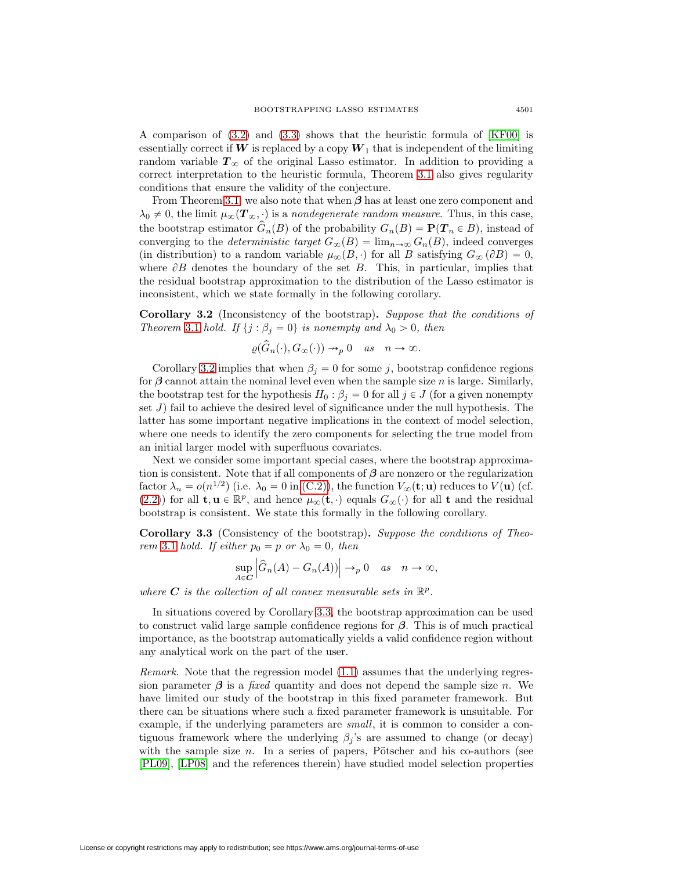A comparison of [\(3.2\)](#page-3-3) and [\(3.3\)](#page-3-4) shows that the heuristic formula of [\[KF00\]](#page-11-2) is essentially correct if  $W$  is replaced by a copy  $W_1$  that is independent of the limiting random variable  $T_{\infty}$  of the original Lasso estimator. In addition to providing a correct interpretation to the heuristic formula, Theorem [3.1](#page-3-0) also gives regularity conditions that ensure the validity of the conjecture.

From Theorem [3.1,](#page-3-0) we also note that when *β* has at least one zero component and  $\lambda_0 \neq 0$ , the limit  $\mu_\infty(\mathbf{T}_\infty, \cdot)$  is a nondegenerate random measure. Thus, in this case, the bootstrap estimator  $\hat{G}_n(B)$  of the probability  $G_n(B) = \mathbf{P}(T_n \in B)$ , instead of converging to the *deterministic target*  $G_{\infty}(B) = \lim_{n\to\infty} G_n(B)$ , indeed converges (in distribution) to a random variable  $\mu_{\infty}(B, \cdot)$  for all B satisfying  $G_{\infty}(\partial B) = 0$ , where  $\partial B$  denotes the boundary of the set B. This, in particular, implies that the residual bootstrap approximation to the distribution of the Lasso estimator is inconsistent, which we state formally in the following corollary.

<span id="page-4-0"></span>**Corollary 3.2** (Inconsistency of the bootstrap)**.** Suppose that the conditions of Theorem [3.1](#page-3-0) hold. If  $\{j : \beta_j = 0\}$  is nonempty and  $\lambda_0 > 0$ , then

$$
\varrho(\tilde{G}_n(\cdot), G_{\infty}(\cdot)) \to_p 0 \quad as \quad n \to \infty.
$$

Corollary [3.2](#page-4-0) implies that when  $\beta_j = 0$  for some j, bootstrap confidence regions for  $\beta$  cannot attain the nominal level even when the sample size n is large. Similarly, the bootstrap test for the hypothesis  $H_0 : \beta_j = 0$  for all  $j \in J$  (for a given nonempty set  $J$ ) fail to achieve the desired level of significance under the null hypothesis. The latter has some important negative implications in the context of model selection, where one needs to identify the zero components for selecting the true model from an initial larger model with superfluous covariates.

Next we consider some important special cases, where the bootstrap approximation is consistent. Note that if all components of *β* are nonzero or the regularization factor  $\lambda_n = o(n^{1/2})$  (i.e.  $\lambda_0 = 0$  in [\(C.2\)\)](#page-3-5), the function  $V_\infty(\mathbf{t}; \mathbf{u})$  reduces to  $V(\mathbf{u})$  (cf.  $(2.2)$  for all **t**,  $\mathbf{u} \in \mathbb{R}^p$ , and hence  $\mu_{\infty}(\mathbf{t}, \cdot)$  equals  $G_{\infty}(\cdot)$  for all **t** and the residual bootstrap is consistent. We state this formally in the following corollary.

<span id="page-4-1"></span>**Corollary 3.3** (Consistency of the bootstrap)**.** Suppose the conditions of Theo-rem [3.1](#page-3-0) hold. If either  $p_0 = p$  or  $\lambda_0 = 0$ , then

$$
\sup_{A \in \mathbf{C}} \left| \hat{G}_n(A) - G_n(A) \right| \to_p 0 \quad \text{as} \quad n \to \infty,
$$

where  $C$  is the collection of all convex measurable sets in  $\mathbb{R}^p$ .

In situations covered by Corollary [3.3,](#page-4-1) the bootstrap approximation can be used to construct valid large sample confidence regions for *β*. This is of much practical importance, as the bootstrap automatically yields a valid confidence region without any analytical work on the part of the user.

Remark. Note that the regression model [\(1.1\)](#page-0-1) assumes that the underlying regression parameter  $\beta$  is a *fixed* quantity and does not depend the sample size n. We have limited our study of the bootstrap in this fixed parameter framework. But there can be situations where such a fixed parameter framework is unsuitable. For example, if the underlying parameters are small, it is common to consider a contiguous framework where the underlying  $\beta_j$ 's are assumed to change (or decay) with the sample size n. In a series of papers, Pötscher and his co-authors (see [\[PL09\]](#page-11-5), [\[LP08\]](#page-11-6) and the references therein) have studied model selection properties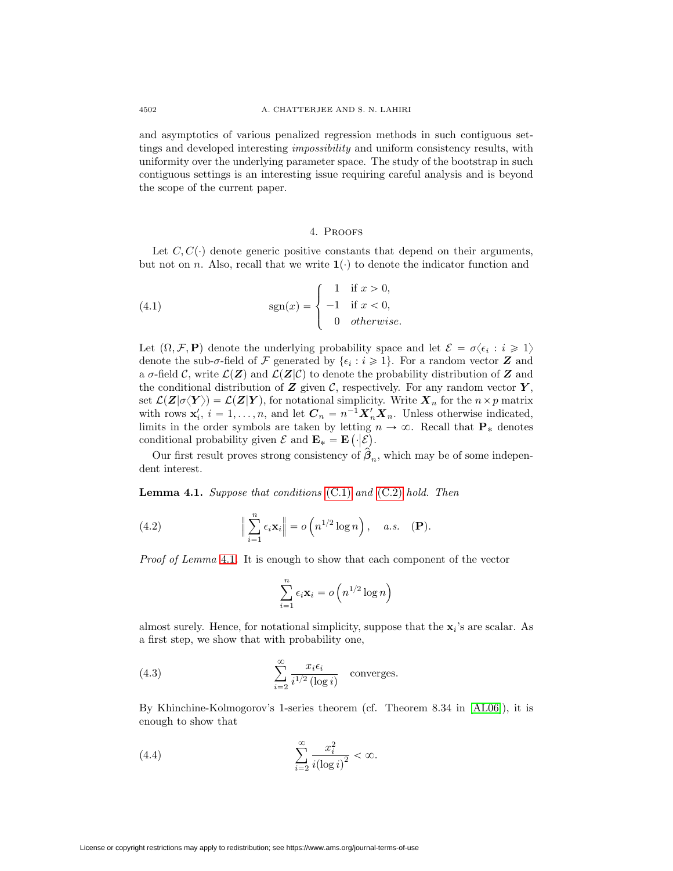and asymptotics of various penalized regression methods in such contiguous settings and developed interesting impossibility and uniform consistency results, with uniformity over the underlying parameter space. The study of the bootstrap in such contiguous settings is an interesting issue requiring careful analysis and is beyond the scope of the current paper.

### <span id="page-5-1"></span>4. Proofs

<span id="page-5-0"></span>Let  $C, C(\cdot)$  denote generic positive constants that depend on their arguments, but not on n. Also, recall that we write  $\mathbf{1}(\cdot)$  to denote the indicator function and

(4.1) 
$$
\operatorname{sgn}(x) = \begin{cases} 1 & \text{if } x > 0, \\ -1 & \text{if } x < 0, \\ 0 & otherwise. \end{cases}
$$

Let  $(\Omega, \mathcal{F}, \mathbf{P})$  denote the underlying probability space and let  $\mathcal{E} = \sigma \langle \epsilon_i : i \geq 1 \rangle$ denote the sub- $\sigma$ -field of F generated by  $\{\epsilon_i : i \geq 1\}$ . For a random vector **Z** and a  $\sigma$ -field C, write  $\mathcal{L}(Z)$  and  $\mathcal{L}(Z|\mathcal{C})$  to denote the probability distribution of Z and the conditional distribution of  $Z$  given  $C$ , respectively. For any random vector  $Y$ , set  $\mathcal{L}(\mathbf{Z}|\sigma\langle\mathbf{Y}\rangle) = \mathcal{L}(\mathbf{Z}|\mathbf{Y})$ , for notational simplicity. Write  $\mathbf{X}_n$  for the  $n \times p$  matrix with rows  $\mathbf{x}'_i$ ,  $i = 1, \ldots, n$ , and let  $\mathbf{C}_n = n^{-1} \mathbf{X}'_n \mathbf{X}_n$ . Unless otherwise indicated, limits in the order symbols are taken by letting  $n \to \infty$ . Recall that  $P_*$  denotes conditional probability given  $\mathcal{E}$  and  $\mathbf{E}_{*} = \mathbf{E} (\cdot | \mathcal{E})$ .

<span id="page-5-2"></span>Our first result proves strong consistency of  $\hat{\beta}_n$ , which may be of some independent interest.

**Lemma 4.1.** Suppose that conditions [\(C.1\)](#page-3-1) and [\(C.2\)](#page-3-5) hold. Then

(4.2) 
$$
\Big\|\sum_{i=1}^n \epsilon_i \mathbf{x}_i\Big\| = o\left(n^{1/2}\log n\right), \quad a.s. \quad (\mathbf{P}).
$$

Proof of Lemma [4.1](#page-5-2). It is enough to show that each component of the vector

<span id="page-5-5"></span><span id="page-5-3"></span>
$$
\sum_{i=1}^{n} \epsilon_i \mathbf{x}_i = o\left(n^{1/2} \log n\right)
$$

almost surely. Hence, for notational simplicity, suppose that the  $\mathbf{x}_i$ 's are scalar. As a first step, we show that with probability one,

(4.3) 
$$
\sum_{i=2}^{\infty} \frac{x_i \epsilon_i}{i^{1/2} (\log i)} \quad \text{converges.}
$$

<span id="page-5-4"></span>By Khinchine-Kolmogorov's 1-series theorem (cf. Theorem 8.34 in [\[AL06\]](#page-11-7)), it is enough to show that

$$
\sum_{i=2}^{\infty} \frac{x_i^2}{i(\log i)^2} < \infty.
$$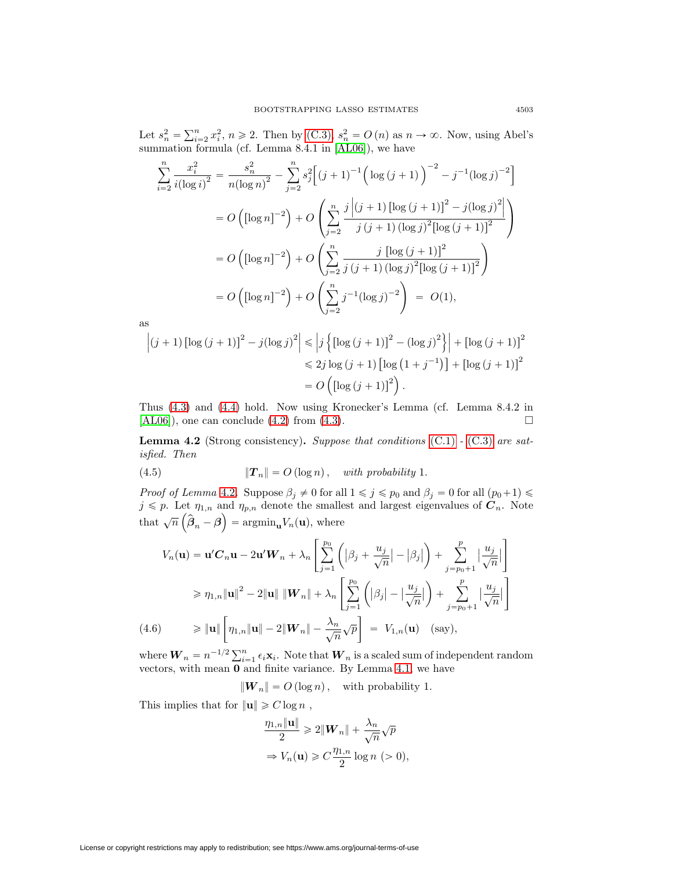Let  $s_n^2 = \sum_{i=2}^n x_i^2$ ,  $n \ge 2$ . Then by [\(C.3\),](#page-3-2)  $s_n^2 = O(n)$  as  $n \to \infty$ . Now, using Abel's summation formula (cf. Lemma 8.4.1 in [\[AL06\]](#page-11-7)), we have

$$
\sum_{i=2}^{n} \frac{x_i^2}{i(\log i)^2} = \frac{s_n^2}{n(\log n)^2} - \sum_{j=2}^{n} s_j^2 \Big[ (j+1)^{-1} \Big( \log (j+1) \Big)^{-2} - j^{-1} (\log j)^{-2} \Big]
$$
  
=  $O\left( [\log n]^{-2} \right) + O\left( \sum_{j=2}^{n} \frac{j |(j+1) [\log (j+1)]^2 - j(\log j)^2|}{j (j+1) (\log j)^2 [\log (j+1)]^2} \right)$   
=  $O\left( [\log n]^{-2} \right) + O\left( \sum_{j=2}^{n} \frac{j [\log (j+1)]^2}{j (j+1) (\log j)^2 [\log (j+1)]^2} \right)$   
=  $O\left( [\log n]^{-2} \right) + O\left( \sum_{j=2}^{n} j^{-1} (\log j)^{-2} \right) = O(1),$ 

as

$$
\left| (j+1) \left[ \log (j+1) \right]^2 - j(\log j)^2 \right| \le \left| j \left\{ \left[ \log (j+1) \right]^2 - (\log j)^2 \right\} \right| + \left[ \log (j+1) \right]^2
$$
  

$$
\le 2j \log (j+1) \left[ \log (1+j^{-1}) \right] + \left[ \log (j+1) \right]^2
$$
  

$$
= O\left( \left[ \log (j+1) \right]^2 \right).
$$

Thus [\(4.3\)](#page-5-3) and [\(4.4\)](#page-5-4) hold. Now using Kronecker's Lemma (cf. Lemma 8.4.2 in  $[\text{AL06}]$ , one can conclude [\(4.2\)](#page-5-5) from [\(4.3\)](#page-5-3).  $\Box$ 

<span id="page-6-0"></span>**Lemma 4.2** (Strong consistency). Suppose that conditions  $(C.1)$  -  $(C.3)$  are satisfied. Then

(4.5) 
$$
\|\boldsymbol{T}_n\| = O(\log n), \text{ with probability 1.}
$$

*Proof of Lemma* [4.2](#page-6-0). Suppose  $\beta_j \neq 0$  for all  $1 \leq j \leq p_0$  and  $\beta_j = 0$  for all  $(p_0+1) \leq$  $j \leq p$ . Let  $\eta_{1,n}$  and  $\eta_{p,n}$  denote the smallest and largest eigenvalues of  $C_n$ . Note that  $\sqrt{n}(\hat{\boldsymbol{\beta}}_n - \boldsymbol{\beta}) = \operatorname{argmin}_{\mathbf{u}} V_n(\mathbf{u}),$  where

$$
V_n(\mathbf{u}) = \mathbf{u}'C_n\mathbf{u} - 2\mathbf{u}'W_n + \lambda_n \left[ \sum_{j=1}^{p_0} \left( |\beta_j + \frac{u_j}{\sqrt{n}}| - |\beta_j| \right) + \sum_{j=p_0+1}^{p} \left| \frac{u_j}{\sqrt{n}} \right| \right]
$$
  
\n
$$
\geq \eta_{1,n} \|\mathbf{u}\|^2 - 2\|\mathbf{u}\| \|\mathbf{W}_n\| + \lambda_n \left[ \sum_{j=1}^{p_0} \left( |\beta_j| - \left| \frac{u_j}{\sqrt{n}} \right| \right) + \sum_{j=p_0+1}^{p} \left| \frac{u_j}{\sqrt{n}} \right| \right]
$$
  
\n(4.6) 
$$
\geq \|\mathbf{u}\| \left[ \eta_{1,n} \|\mathbf{u}\| - 2\|\mathbf{W}_n\| - \frac{\lambda_n}{\sqrt{n}} \sqrt{p} \right] = V_{1,n}(\mathbf{u}) \quad \text{(say)},
$$

where  $W_n = n^{-1/2} \sum_{i=1}^n \epsilon_i \mathbf{x}_i$ . Note that  $W_n$  is a scaled sum of independent random vectors, with mean **0** and finite variance. By Lemma [4.1,](#page-5-2) we have

 $|\mathbf{W}_n| = O(\log n)$ , with probability 1.

This implies that for  $\|\mathbf{u}\| \geq C \log n$ ,

$$
\frac{\eta_{1,n} \|\mathbf{u}\|}{2} \geq 2\|\mathbf{W}_n\| + \frac{\lambda_n}{\sqrt{n}}\sqrt{p}
$$

$$
\Rightarrow V_n(\mathbf{u}) \geq C\frac{\eta_{1,n}}{2}\log n \quad (>0),
$$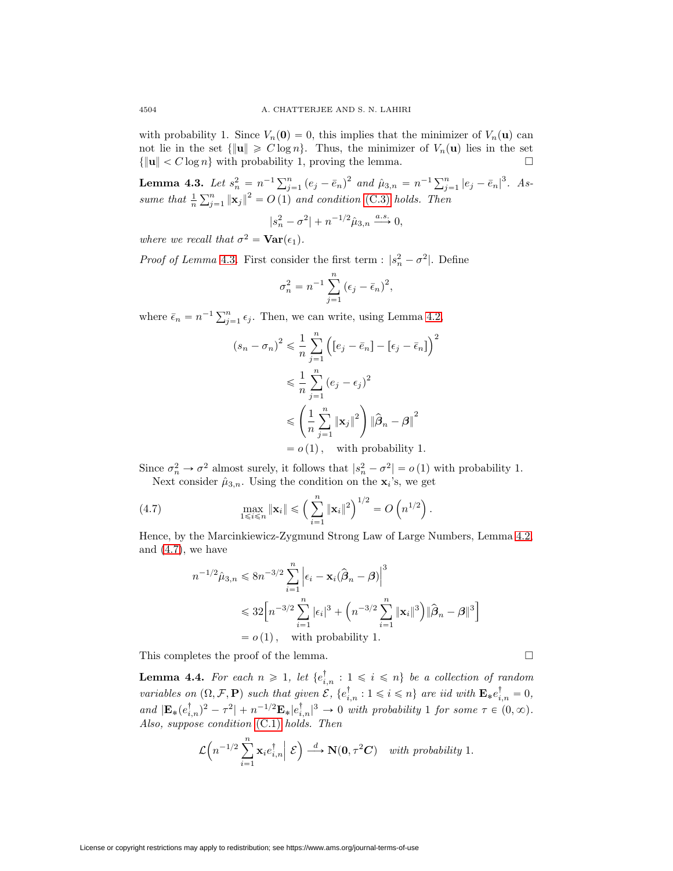with probability 1. Since  $V_n(\mathbf{0})=0$ , this implies that the minimizer of  $V_n(\mathbf{u})$  can not lie in the set  $\{\|\mathbf{u}\| \geq C \log n\}$ . Thus, the minimizer of  $V_n(\mathbf{u})$  lies in the set  $\{\|\mathbf{u}\| < C \log n\}$  with probability 1, proving the lemma.  $\Box$ 

<span id="page-7-0"></span>**Lemma 4.3.** Let  $s_n^2 = n^{-1} \sum_{j=1}^n (e_j - \bar{e}_n)^2$  and  $\hat{\mu}_{3,n} = n^{-1} \sum_{j=1}^n |e_j - \bar{e}_n|^3$ . Assume that  $\frac{1}{n} \sum_{j=1}^{n} ||\mathbf{x}_j||^2 = O(1)$  and condition [\(C.3\)](#page-3-2) holds. Then

$$
|s_n^2-\sigma^2|+n^{-1/2}\hat{\mu}_{3,n}\xrightarrow{a.s.}0,
$$

where we recall that  $\sigma^2 = \text{Var}(\epsilon_1)$ .

*Proof of Lemma* [4.3](#page-7-0). First consider the first term :  $|s_n^2 - \sigma^2|$ . Define

$$
\sigma_n^2 = n^{-1} \sum_{j=1}^n (\epsilon_j - \bar{\epsilon}_n)^2,
$$

where  $\bar{\epsilon}_n = n^{-1} \sum_{j=1}^n \epsilon_j$ . Then, we can write, using Lemma [4.2,](#page-6-0)

$$
(s_n - \sigma_n)^2 \leq \frac{1}{n} \sum_{j=1}^n \left( [e_j - \bar{e}_n] - [\epsilon_j - \bar{e}_n] \right)^2
$$
  

$$
\leq \frac{1}{n} \sum_{j=1}^n (e_j - \epsilon_j)^2
$$
  

$$
\leq \left( \frac{1}{n} \sum_{j=1}^n ||\mathbf{x}_j||^2 \right) ||\hat{\boldsymbol{\beta}}_n - \boldsymbol{\beta}||^2
$$
  
=  $o(1)$ , with probability 1.

Since  $\sigma_n^2 \to \sigma^2$  almost surely, it follows that  $|s_n^2 - \sigma^2| = o(1)$  with probability 1. Next consider  $\hat{\mu}_{3,n}$ . Using the condition on the **x**<sub>i</sub>'s, we get

(4.7) 
$$
\max_{1 \leq i \leq n} \|\mathbf{x}_i\| \leq \left(\sum_{i=1}^n \|\mathbf{x}_i\|^2\right)^{1/2} = O\left(n^{1/2}\right).
$$

Hence, by the Marcinkiewicz-Zygmund Strong Law of Large Numbers, Lemma [4.2,](#page-6-0) and  $(4.7)$ , we have

<span id="page-7-1"></span>
$$
n^{-1/2}\hat{\mu}_{3,n} \leq 8n^{-3/2} \sum_{i=1}^{n} \left| \epsilon_i - \mathbf{x}_i (\hat{\beta}_n - \beta) \right|^3
$$
  

$$
\leq 32 \left[ n^{-3/2} \sum_{i=1}^{n} |\epsilon_i|^3 + \left( n^{-3/2} \sum_{i=1}^{n} \|\mathbf{x}_i\|^3 \right) \| \hat{\beta}_n - \beta \|^3 \right]
$$
  
=  $o(1)$ , with probability 1.

<span id="page-7-2"></span>This completes the proof of the lemma.

**Lemma 4.4.** For each  $n \geq 1$ , let  $\{e_{i,n}^{\dagger} : 1 \leq i \leq n\}$  be a collection of random variables on  $(\Omega, \mathcal{F}, \mathbf{P})$  such that given  $\mathcal{E}, \{e_{i,n}^{\dagger} : 1 \leq i \leq n\}$  are iid with  $\mathbf{E}_{*}e_{i,n}^{\dagger} = 0$ , and  $|\mathbf{E}_{*}(e_{i,n}^{\dagger})^2 - \tau^2| + n^{-1/2}\mathbf{E}_{*}|e_{i,n}^{\dagger}|^3 \to 0$  with probability 1 for some  $\tau \in (0,\infty)$ . Also, suppose condition [\(C.1\)](#page-3-1) holds. Then

 $\Box$ 

$$
\mathcal{L}\Big(n^{-1/2}\sum_{i=1}^n\mathbf{x}_ie_{i,n}^\dagger\Big|\,\mathcal{E}\Big)\stackrel{d}{\longrightarrow}\mathbf{N}(\mathbf{0},\tau^2\boldsymbol{C})\quad\text{with probability 1.}
$$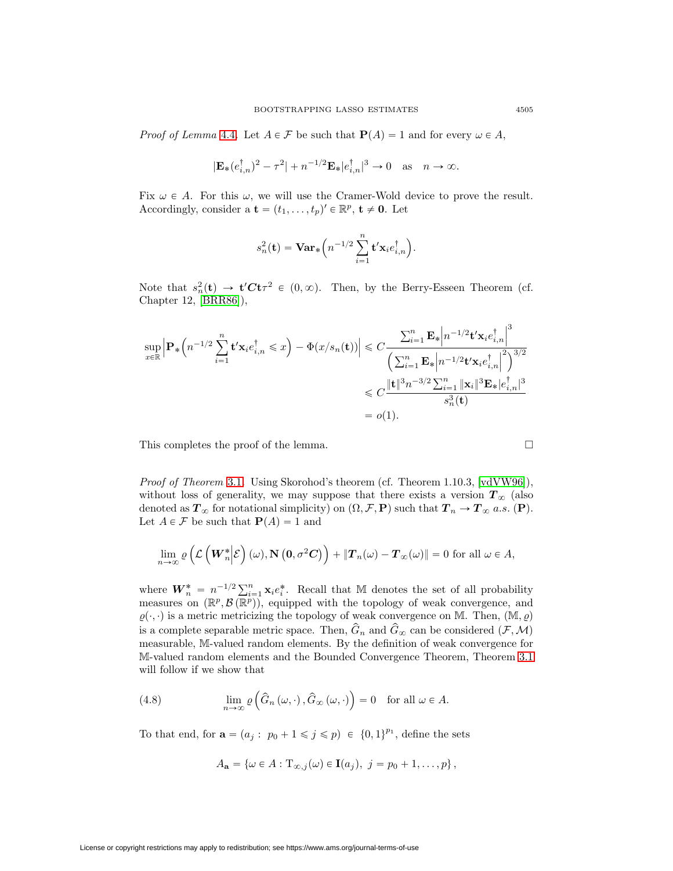*Proof of Lemma* [4.4](#page-7-2). Let  $A \in \mathcal{F}$  be such that  $P(A) = 1$  and for every  $\omega \in A$ ,

$$
|\mathbf{E}_*(e_{i,n}^\dagger)^2-\tau^2|+n^{-1/2}\mathbf{E}_*|e_{i,n}^\dagger|^3\to 0\quad\text{as}\quad n\to\infty.
$$

Fix  $\omega \in A$ . For this  $\omega$ , we will use the Cramer-Wold device to prove the result. Accordingly, consider a  $\mathbf{t} = (t_1, \ldots, t_p)' \in \mathbb{R}^p, \mathbf{t} \neq \mathbf{0}$ . Let

$$
s_n^2(\mathbf{t}) = \mathbf{Var}_*\Big( n^{-1/2} \sum_{i=1}^n \mathbf{t}' \mathbf{x}_i e_{i,n}^\dagger \Big).
$$

Note that  $s_n^2(\mathbf{t}) \to \mathbf{t}' C \mathbf{t} \tau^2 \in (0, \infty)$ . Then, by the Berry-Esseen Theorem (cf. Chapter 12, [\[BRR86\]](#page-11-8)),

$$
\sup_{x \in \mathbb{R}} \left| \mathbf{P}_* \left( n^{-1/2} \sum_{i=1}^n \mathbf{t}' \mathbf{x}_i e_{i,n}^\dagger \le x \right) - \Phi(x/s_n(\mathbf{t})) \right| \le C \frac{\sum_{i=1}^n \mathbf{E}_* \left| n^{-1/2} \mathbf{t}' \mathbf{x}_i e_{i,n}^\dagger \right|^3}{\left( \sum_{i=1}^n \mathbf{E}_* \left| n^{-1/2} \mathbf{t}' \mathbf{x}_i e_{i,n}^\dagger \right|^2 \right)^{3/2}}
$$
  

$$
\le C \frac{\|\mathbf{t}\|^3 n^{-3/2} \sum_{i=1}^n \|\mathbf{x}_i\|^3 \mathbf{E}_* |e_{i,n}^\dagger|^3}{s_n^3(\mathbf{t})}
$$
  
=  $o(1).$ 

This completes the proof of the lemma.

Proof of Theorem [3.1](#page-3-0). Using Skorohod's theorem (cf. Theorem 1.10.3, [\[vdVW96\]](#page-11-9)), without loss of generality, we may suppose that there exists a version  $T_{\infty}$  (also denoted as  $T_{\infty}$  for notational simplicity) on  $(\Omega, \mathcal{F}, \mathbf{P})$  such that  $T_n \to T_{\infty}$  a.s.  $(\mathbf{P})$ . Let  $A \in \mathcal{F}$  be such that  $\mathbf{P}(A) = 1$  and

$$
\lim_{n\to\infty}\varrho\left(\mathcal{L}\left(W_n^*\big|\mathcal{E}\right)(\omega),\mathbf{N}\left(0,\sigma^2\mathbf{C}\right)\right)+\|\mathbf{T}_n(\omega)-\mathbf{T}_\infty(\omega)\|=0\text{ for all }\omega\in A,
$$

where  $\mathbf{W}_n^* = n^{-1/2} \sum_{i=1}^n \mathbf{x}_i e_i^*$ . Recall that M denotes the set of all probability measures on  $(\mathbb{R}^p, \mathcal{B}(\mathbb{R}^p))$ , equipped with the topology of weak convergence, and  $\rho(\cdot, \cdot)$  is a metric metricizing the topology of weak convergence on M. Then,  $(M, \rho)$ is a complete separable metric space. Then,  $\hat{G}_n$  and  $\hat{G}_\infty$  can be considered  $(\mathcal{F},\mathcal{M})$ measurable, M-valued random elements. By the definition of weak convergence for M-valued random elements and the Bounded Convergence Theorem, Theorem [3.1](#page-3-0) will follow if we show that

(4.8) 
$$
\lim_{n \to \infty} \varrho \left( \widehat{G}_n \left( \omega, \cdot \right), \widehat{G}_\infty \left( \omega, \cdot \right) \right) = 0 \text{ for all } \omega \in A.
$$

To that end, for  $\mathbf{a} = (a_j : p_0 + 1 \leq j \leq p) \in \{0,1\}^{p_1}$ , define the sets

$$
A_{\mathbf{a}} = \{ \omega \in A : \mathrm{T}_{\infty,j}(\omega) \in \mathbf{I}(a_j), \ j = p_0 + 1, \ldots, p \},\
$$

License or copyright restrictions may apply to redistribution; see https://www.ams.org/journal-terms-of-use

$$
\Box
$$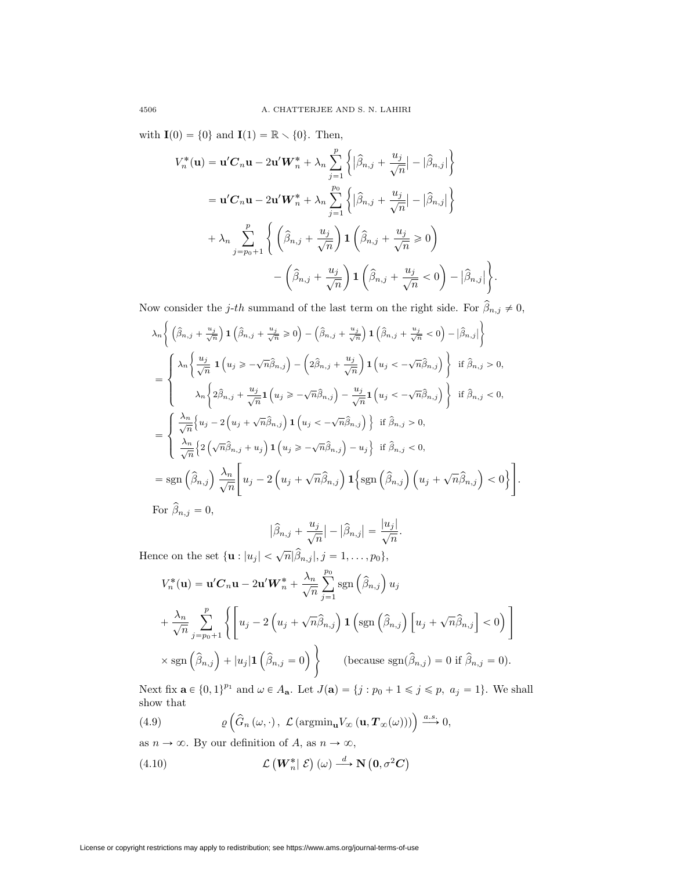with  $\mathbf{I}(0) = \{0\}$  and  $\mathbf{I}(1) = \mathbb{R} \setminus \{0\}$ . Then,

$$
V_n^*(\mathbf{u}) = \mathbf{u}'\mathbf{C}_n\mathbf{u} - 2\mathbf{u}'\mathbf{W}_n^* + \lambda_n \sum_{j=1}^p \left\{ |\widehat{\beta}_{n,j} + \frac{u_j}{\sqrt{n}}| - |\widehat{\beta}_{n,j}| \right\}
$$
  

$$
= \mathbf{u}'\mathbf{C}_n\mathbf{u} - 2\mathbf{u}'\mathbf{W}_n^* + \lambda_n \sum_{j=1}^{p_0} \left\{ |\widehat{\beta}_{n,j} + \frac{u_j}{\sqrt{n}}| - |\widehat{\beta}_{n,j}| \right\}
$$
  

$$
+ \lambda_n \sum_{j=p_0+1}^p \left\{ \left( \widehat{\beta}_{n,j} + \frac{u_j}{\sqrt{n}} \right) \mathbf{1} \left( \widehat{\beta}_{n,j} + \frac{u_j}{\sqrt{n}} \ge 0 \right) - \left( \widehat{\beta}_{n,j} + \frac{u_j}{\sqrt{n}} \right) \mathbf{1} \left( \widehat{\beta}_{n,j} + \frac{u_j}{\sqrt{n}} < 0 \right) - |\widehat{\beta}_{n,j}| \right\}.
$$

Now consider the j-th summand of the last term on the right side. For  $\hat{\beta}_{n,j} \neq 0$ ,

$$
\lambda_n \Biggl\{ \left( \hat{\beta}_{n,j} + \frac{u_j}{\sqrt{n}} \right) \mathbf{1} \left( \hat{\beta}_{n,j} + \frac{u_j}{\sqrt{n}} \ge 0 \right) - \left( \hat{\beta}_{n,j} + \frac{u_j}{\sqrt{n}} \right) \mathbf{1} \left( \hat{\beta}_{n,j} + \frac{u_j}{\sqrt{n}} < 0 \right) - |\hat{\beta}_{n,j}| \Biggr\}
$$
\n
$$
= \begin{cases}\n\lambda_n \Biggl\{ \frac{u_j}{\sqrt{n}} \mathbf{1} \Bigl( u_j \ge -\sqrt{n} \hat{\beta}_{n,j} \Bigr) - \Bigl( 2 \hat{\beta}_{n,j} + \frac{u_j}{\sqrt{n}} \Bigr) \mathbf{1} \Bigl( u_j < -\sqrt{n} \hat{\beta}_{n,j} \Bigr) \Biggr\} & \text{if } \hat{\beta}_{n,j} > 0, \\
\lambda_n \Biggl\{ 2 \hat{\beta}_{n,j} + \frac{u_j}{\sqrt{n}} \mathbf{1} \Bigl( u_j \ge -\sqrt{n} \hat{\beta}_{n,j} \Bigr) - \frac{u_j}{\sqrt{n}} \mathbf{1} \Bigl( u_j < -\sqrt{n} \hat{\beta}_{n,j} \Bigr) \Biggr\} & \text{if } \hat{\beta}_{n,j} < 0, \\
\frac{\lambda_n}{\sqrt{n}} \Biggl\{ u_j - 2 \Bigl( u_j + \sqrt{n} \hat{\beta}_{n,j} \Bigr) \mathbf{1} \Bigl( u_j < -\sqrt{n} \hat{\beta}_{n,j} \Bigr) \Biggr\} & \text{if } \hat{\beta}_{n,j} > 0, \\
\frac{\lambda_n}{\sqrt{n}} \Biggl\{ 2 \Bigl( \sqrt{n} \hat{\beta}_{n,j} + u_j \Bigr) \mathbf{1} \Bigl( u_j \ge -\sqrt{n} \hat{\beta}_{n,j} \Bigr) - u_j \Biggr\} & \text{if } \hat{\beta}_{n,j} < 0, \\
= \text{sgn} \Bigl( \hat{\beta}_{n,j} \Bigr) \frac{\lambda_n}{\sqrt{n}} \Biggl[ u_j - 2 \Bigl( u_j + \sqrt{n} \hat{\beta}_{n,j} \Bigr) \mathbf{1} \Biggl\{ \text{sgn} \Bigl( \hat{\beta}_{n,j} \Bigr) \Bigl( u_j + \sqrt{n} \hat{\beta}_{n,j} \Bigr) <
$$

$$
\left|\widehat{\beta}_{n,j} + \frac{u_j}{\sqrt{n}}\right| - \left|\widehat{\beta}_{n,j}\right| = \frac{|u_j|}{\sqrt{n}}.
$$

Hence on the set  $\{\mathbf{u} : |u_j| < \sqrt{n} |\widehat{\beta}_{n,j}|, j = 1,\ldots,p_0\},\$ 

$$
V_n^*(\mathbf{u}) = \mathbf{u}'\mathbf{C}_n\mathbf{u} - 2\mathbf{u}'\mathbf{W}_n^* + \frac{\lambda_n}{\sqrt{n}} \sum_{j=1}^{p_0} \text{sgn}\left(\hat{\beta}_{n,j}\right) u_j
$$
  
+ 
$$
\frac{\lambda_n}{\sqrt{n}} \sum_{j=p_0+1}^{p} \left\{ \left[ u_j - 2\left(u_j + \sqrt{n}\hat{\beta}_{n,j}\right) \mathbf{1}\left(\text{sgn}\left(\hat{\beta}_{n,j}\right) \left[u_j + \sqrt{n}\hat{\beta}_{n,j}\right] < 0 \right) \right] \right\}
$$
  
× 
$$
\text{sgn}\left(\hat{\beta}_{n,j}\right) + |u_j| \mathbf{1}\left(\hat{\beta}_{n,j} = 0\right) \right\} \qquad \text{(because } \text{sgn}(\hat{\beta}_{n,j}) = 0 \text{ if } \hat{\beta}_{n,j} = 0 \text{).}
$$

<span id="page-9-1"></span>Next fix  $\mathbf{a} \in \{0, 1\}^{p_1}$  and  $\omega \in A_{\mathbf{a}}$ . Let  $J(\mathbf{a}) = \{j : p_0 + 1 \leq j \leq p, a_j = 1\}$ . We shall show that

(4.9) 
$$
\varrho\left(\widehat{G}_n\left(\omega,\cdot\right), \mathcal{L}\left(\mathrm{argmin}_{\mathbf{u}}V_\infty\left(\mathbf{u}, \mathbf{T}_\infty(\omega)\right)\right)\right) \xrightarrow{a.s.} 0,
$$

as  $n \to \infty$ . By our definition of A, as  $n \to \infty$ ,

<span id="page-9-0"></span>(4.10) 
$$
\mathcal{L}\left(\boldsymbol{W}_{n}^{*}|\ \mathcal{E}\right)(\omega) \stackrel{d}{\longrightarrow} \mathbf{N}\left(\mathbf{0}, \sigma^{2}\mathbf{C}\right)
$$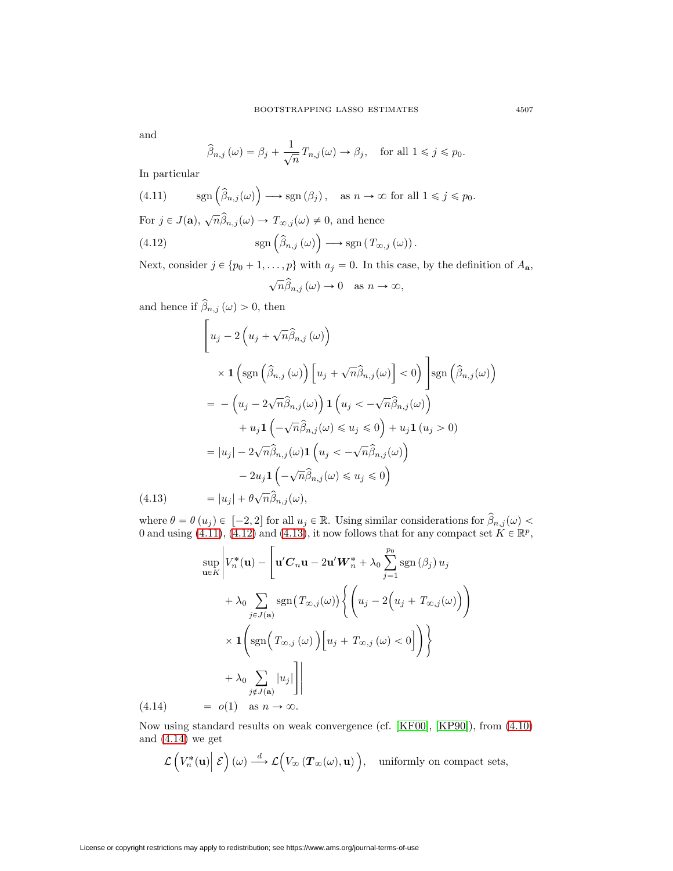and

$$
\widehat{\beta}_{n,j}(\omega) = \beta_j + \frac{1}{\sqrt{n}} T_{n,j}(\omega) \to \beta_j, \quad \text{for all } 1 \le j \le p_0.
$$

<span id="page-10-0"></span>In particular

(4.11) 
$$
\text{sgn}\left(\widehat{\beta}_{n,j}(\omega)\right) \longrightarrow \text{sgn}\left(\beta_j\right), \text{ as } n \to \infty \text{ for all } 1 \leq j \leq p_0.
$$
  
For  $j \in J(\mathbf{a}), \sqrt{n}\widehat{\beta}_{n,j}(\omega) \to T_{\infty,j}(\omega) \neq 0$ , and hence

(4.12) 
$$
\mathrm{sgn}\left(\widehat{\beta}_{n,j}\left(\omega\right)\right)\longrightarrow \mathrm{sgn}\left(T_{\infty,j}\left(\omega\right)\right).
$$

Next, consider  $j \in \{p_0 + 1, \ldots, p\}$  with  $a_j = 0$ . In this case, by the definition of  $A_{\mathbf{a}}$ ,

<span id="page-10-1"></span>
$$
\sqrt{n}\widehat{\beta}_{n,j}\left(\omega\right)\to 0 \quad \text{as } n\to\infty,
$$

and hence if  $\beta_{n,j}(\omega) > 0$ , then

$$
\begin{aligned}\n\left[u_j - 2\left(u_j + \sqrt{n}\hat{\beta}_{n,j}\left(\omega\right)\right)\right. \\
&\times \mathbf{1}\left(\text{sgn}\left(\hat{\beta}_{n,j}\left(\omega\right)\right)\left[u_j + \sqrt{n}\hat{\beta}_{n,j}(\omega)\right] < 0\right)\right] \text{sgn}\left(\hat{\beta}_{n,j}(\omega)\right) \\
&= -\left(u_j - 2\sqrt{n}\hat{\beta}_{n,j}(\omega)\right)\mathbf{1}\left(u_j < -\sqrt{n}\hat{\beta}_{n,j}(\omega)\right) \\
&+ u_j \mathbf{1}\left(-\sqrt{n}\hat{\beta}_{n,j}(\omega) \leq u_j \leq 0\right) + u_j \mathbf{1}\left(u_j > 0\right) \\
&= |u_j| - 2\sqrt{n}\hat{\beta}_{n,j}(\omega)\mathbf{1}\left(u_j < -\sqrt{n}\hat{\beta}_{n,j}(\omega)\right) \\
&\quad - 2u_j \mathbf{1}\left(-\sqrt{n}\hat{\beta}_{n,j}(\omega) \leq u_j \leq 0\right) \\
(4.13) \qquad &= |u_j| + \theta\sqrt{n}\hat{\beta}_{n,j}(\omega),\n\end{aligned}
$$

<span id="page-10-2"></span>where  $\theta = \theta(u_j) \in [-2, 2]$  for all  $u_j \in \mathbb{R}$ . Using similar considerations for  $\widehat{\beta}_{n,j}(\omega) < 0$  and using [\(4.11\)](#page-10-0), [\(4.12\)](#page-10-1) and [\(4.13\)](#page-10-2), it now follows that for any compact set  $K \in \mathbb{R}^p$ ,

$$
\sup_{\mathbf{u}\in K} \left| V_n^*(\mathbf{u}) - \left[ \mathbf{u}' \mathbf{C}_n \mathbf{u} - 2\mathbf{u}' \mathbf{W}_n^* + \lambda_0 \sum_{j=1}^{p_0} \text{sgn}(\beta_j) u_j \right. \\ \left. + \lambda_0 \sum_{j \in J(\mathbf{a})} \text{sgn}(T_{\infty,j}(\omega)) \left\{ \left( u_j - 2 \left( u_j + T_{\infty,j}(\omega) \right) \right) \right. \\ \left. \times \mathbf{1} \left( \text{sgn}\left( T_{\infty,j}(\omega) \right) \left[ u_j + T_{\infty,j}(\omega) < 0 \right] \right) \right\} \\ \left. + \lambda_0 \sum_{j \notin J(\mathbf{a})} |u_j| \right] \right| \\ (4.14) \qquad = o(1) \quad \text{as } n \to \infty.
$$

<span id="page-10-3"></span>Now using standard results on weak convergence (cf. [\[KF00\]](#page-11-2), [\[KP90\]](#page-11-10)), from [\(4.10\)](#page-9-0) and  $(4.14)$  we get

$$
\mathcal{L}\left(V_n^*(\mathbf{u})\middle| \mathcal{E}\right)(\omega) \stackrel{d}{\longrightarrow} \mathcal{L}\Big(V_\infty\left(T_\infty(\omega), \mathbf{u}\right)\Big), \text{ uniformly on compact sets},
$$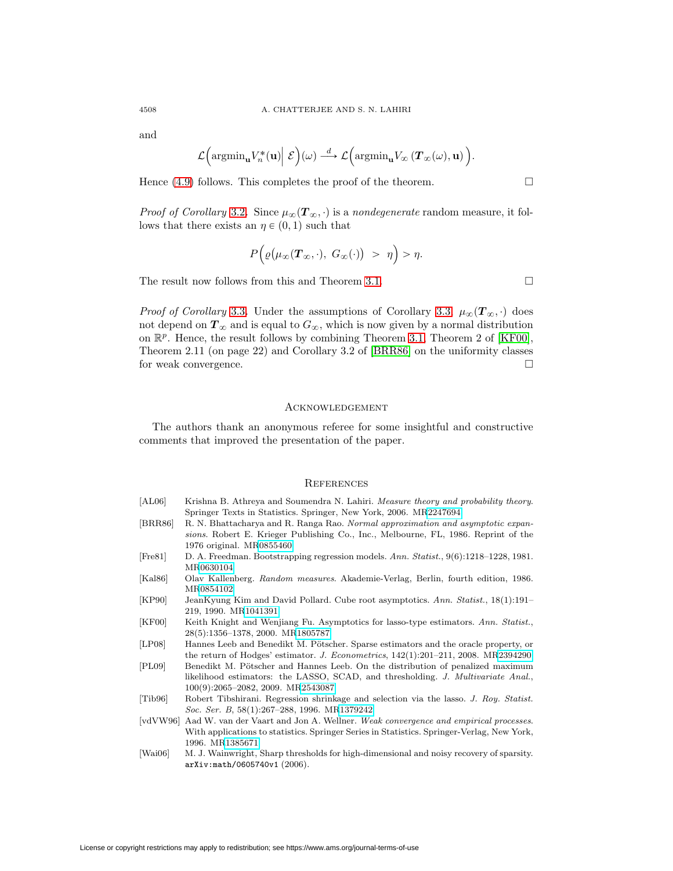and

$$
\mathcal{L}\left(\mathrm{argmin}_{\mathbf{u}} V_n^*(\mathbf{u})\middle| \mathcal{E}\right)(\omega) \stackrel{d}{\longrightarrow} \mathcal{L}\left(\mathrm{argmin}_{\mathbf{u}} V_{\infty}\left(\boldsymbol{T}_{\infty}(\omega), \mathbf{u}\right)\right).
$$

Hence  $(4.9)$  follows. This completes the proof of the theorem.

*Proof of Corollary* [3.2](#page-4-0). Since  $\mu_{\infty}(\mathbf{T}_{\infty}, \cdot)$  is a nondegenerate random measure, it follows that there exists an  $\eta \in (0, 1)$  such that

$$
P\Big(\varrho\big(\mu_\infty(\boldsymbol{T}_\infty,\cdot),\;G_\infty(\cdot)\big) > \eta\Big) > \eta.
$$

The result now follows from this and Theorem [3.1.](#page-3-0)

*Proof of Corollary* [3.3](#page-4-1). Under the assumptions of Corollary [3.3,](#page-4-1)  $\mu_{\infty}(\mathbf{T}_{\infty}, \cdot)$  does not depend on  $T_{\infty}$  and is equal to  $G_{\infty}$ , which is now given by a normal distribution on  $\mathbb{R}^p$ . Hence, the result follows by combining Theorem [3.1,](#page-3-0) Theorem 2 of [\[KF00\]](#page-11-2), Theorem 2.11 (on page 22) and Corollary 3.2 of [\[BRR86\]](#page-11-8) on the uniformity classes for weak convergence.  $\hfill \square$ 

### **ACKNOWLEDGEMENT**

The authors thank an anonymous referee for some insightful and constructive comments that improved the presentation of the paper.

#### **REFERENCES**

<span id="page-11-10"></span><span id="page-11-8"></span><span id="page-11-7"></span><span id="page-11-4"></span><span id="page-11-3"></span><span id="page-11-2"></span>

| [AL06]                 | Krishna B. Athreya and Soumendra N. Lahiri. <i>Measure theory and probability theory</i> .<br>Springer Texts in Statistics. Springer, New York, 2006. MR2247694                                           |
|------------------------|-----------------------------------------------------------------------------------------------------------------------------------------------------------------------------------------------------------|
| [BRR86]                | R. N. Bhattacharya and R. Ranga Rao. Normal approximation and asymptotic expan-<br>sions. Robert E. Krieger Publishing Co., Inc., Melbourne, FL, 1986. Reprint of the<br>1976 original. MR0855460         |
| [Fre81]                | D. A. Freedman. Bootstrapping regression models. Ann. Statist., $9(6):1218-1228$ , 1981.<br>MR0630104                                                                                                     |
| [Kal86]                | Olav Kallenberg. Random measures. Akademie-Verlag, Berlin, fourth edition, 1986.<br>MR0854102                                                                                                             |
| [KP90]                 | JeanKyung Kim and David Pollard. Cube root asymptotics. Ann. Statist., 18(1):191–<br>219, 1990. MR1041391                                                                                                 |
| KF00                   | Keith Knight and Wenjiang Fu. Asymptotics for lasso-type estimators. Ann. Statist.,<br>28(5):1356–1378, 2000. MR1805787                                                                                   |
| [LP08]                 | Hannes Leeb and Benedikt M. Pötscher. Sparse estimators and the oracle property, or<br>the return of Hodges' estimator. J. Econometrics, $142(1):201-211$ , 2008. MR2394290                               |
| [PL09]                 | Benedikt M. Pötscher and Hannes Leeb. On the distribution of penalized maximum<br>likelihood estimators: the LASSO, SCAD, and thresholding. J. Multivariate Anal.,<br>$100(9):2065-2082, 2009.$ MR2543087 |
| [Tib96]                | Robert Tibshirani. Regression shrinkage and selection via the lasso. J. Roy. Statist.<br>Soc. Ser. B, 58(1):267-288, 1996. MR1379242                                                                      |
| $\lceil v dVW96\rceil$ | Aad W. van der Vaart and Jon A. Wellner. Weak convergence and empirical processes.<br>With applications to statistics. Springer Series in Statistics. Springer-Verlag, New York,<br>1996. MR1385671       |
| [Wai06]                | M. J. Wainwright. Sharp thresholds for high-dimensional and noisy recovery of sparsity.                                                                                                                   |

<span id="page-11-9"></span><span id="page-11-6"></span><span id="page-11-5"></span><span id="page-11-1"></span><span id="page-11-0"></span>[Wai06] M. J. Wainwright, Sharp thresholds for high-dimensional and noisy recovery of sparsity. arXiv:math/0605740v1 (2006).

 $\Box$ 

 $\Box$